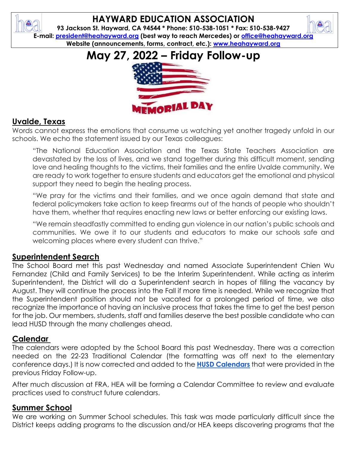

# **HAYWARD EDUCATION ASSOCIATION**

**93 Jackson St. Hayward, CA 94544 \* Phone: 510-538-1051 \* Fax: 510-538-9427 E-mail: [president@heahayward.org](mailto:president@heahayward.org) (best way to reach Mercedes) or [office@heahayward.org](mailto:office@heahayward.org) Website (announcements, forms, contract, etc.): [www.heahayward.org](http://www.heahayward.org/)**

# **May 27, 2022 – Friday Follow-up**



# **Uvalde, Texas**

Words cannot express the emotions that consume us watching yet another tragedy unfold in our schools. We echo the statement issued by our Texas colleagues:

"The National Education Association and the Texas State Teachers Association are devastated by the loss of lives, and we stand together during this difficult moment, sending love and healing thoughts to the victims, their families and the entire Uvalde community. We are ready to work together to ensure students and educators get the emotional and physical support they need to begin the healing process.

"We pray for the victims and their families, and we once again demand that state and federal policymakers take action to keep firearms out of the hands of people who shouldn't have them, whether that requires enacting new laws or better enforcing our existing laws.

"We remain steadfastly committed to ending gun violence in our nation's public schools and communities. We owe it to our students and educators to make our schools safe and welcoming places where every student can thrive."

# **Superintendent Search**

The School Board met this past Wednesday and named Associate Superintendent Chien Wu Fernandez (Child and Family Services) to be the Interim Superintendent. While acting as interim Superintendent, the District will do a Superintendent search in hopes of filling the vacancy by August. They will continue the process into the Fall if more time is needed. While we recognize that the Superintendent position should not be vacated for a prolonged period of time, we also recognize the importance of having an inclusive process that takes the time to get the best person for the job. Our members, students, staff and families deserve the best possible candidate who can lead HUSD through the many challenges ahead.

#### **Calendar**

The calendars were adopted by the School Board this past Wednesday. There was a correction needed on the 22-23 Traditional Calendar (the formatting was off next to the elementary conference days.) It is now corrected and added to the **[HUSD Calendars](https://drive.google.com/drive/folders/1xr5x6i3NkFhz_MQ2rBMWddmf-q2B416i?usp=sharing)** that were provided in the previous Friday Follow-up.

After much discussion at FRA, HEA will be forming a Calendar Committee to review and evaluate practices used to construct future calendars.

#### **Summer School**

We are working on Summer School schedules. This task was made particularly difficult since the District keeps adding programs to the discussion and/or HEA keeps discovering programs that the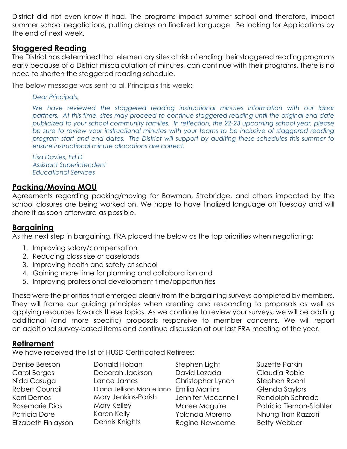District did not even know it had. The programs impact summer school and therefore, impact summer school negotiations, putting delays on finalized language. Be looking for Applications by the end of next week.

#### **Staggered Reading**

The District has determined that elementary sites at risk of ending their staggered reading programs early because of a District miscalculation of minutes, can continue with their programs. There is no need to shorten the staggered reading schedule.

The below message was sent to all Principals this week:

*Dear Principals,*

We have reviewed the staggered reading instructional minutes information with our labor *partners. At this time, sites may proceed to continue staggered reading until the original end date publicized to your school community families. In reflection, the 22-23 upcoming school year, please*  be sure to review your instructional minutes with your teams to be inclusive of staggered reading *program start and end dates. The District will support by auditing these schedules this summer to ensure instructional minute allocations are correct.*

*Lisa Davies, Ed.D Assistant Superintendent Educational Services*

#### **Packing/Moving MOU**

Agreements regarding packing/moving for Bowman, Strobridge, and others impacted by the school closures are being worked on. We hope to have finalized language on Tuesday and will share it as soon afterward as possible.

#### **Bargaining**

As the next step in bargaining, FRA placed the below as the top priorities when negotiating:

- 1. Improving salary/compensation
- 2. Reducing class size or caseloads
- 3. Improving health and safety at school
- 4. Gaining more time for planning and collaboration and
- 5. Improving professional development time/opportunities

These were the priorities that emerged clearly from the bargaining surveys completed by members. They will frame our guiding principles when creating and responding to proposals as well as applying resources towards these topics. As we continue to review your surveys, we will be adding additional (and more specific) proposals responsive to member concerns. We will report on additional survey-based items and continue discussion at our last FRA meeting of the year.

# **Retirement**

We have received the list of HUSD Certificated Retirees:

Denise Beeson Carol Borges Nida Casuaa Robert Council Kerri Demos Rosemarie Dias Patricia Dore Elizabeth Finlayson Donald Hoban Deborah Jackson Lance James Diana Jellison Montellano Emilia Martins Mary Jenkins-Parish Mary Kelley Karen Kelly Dennis Knights

Stephen Light David Lozada Christopher Lynch Jennifer Mcconnell Maree Mcguire Yolanda Moreno Regina Newcome

Suzette Parkin Claudia Robie Stephen Roehl Glenda Saylors Randolph Schrade Patricia Tiernan-Stahler Nhung Tran Razzari Betty Webber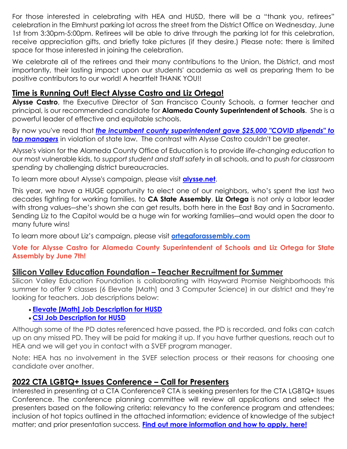For those interested in celebrating with HEA and HUSD, there will be a "thank you, retirees" celebration in the Elmhurst parking lot across the street from the District Office on Wednesday, June 1st from 3:30pm-5:00pm. Retirees will be able to drive through the parking lot for this celebration, receive appreciation gifts, and briefly take pictures (if they desire.) Please note: there is limited space for those interested in joining the celebration.

We celebrate all of the retirees and their many contributions to the Union, the District, and most importantly, their lasting impact upon our students' academia as well as preparing them to be positive contributors to our world! A heartfelt THANK YOU!!

### **Time is Running Out! Elect Alysse Castro and Liz Ortega!**

**Alysse Castro**, the Executive Director of San Francisco County Schools, a former teacher and principal, is our recommended candidate for **Alameda County Superintendent of Schools**. She is a powerful leader of effective and equitable schools.

By now you've read that *[the incumbent county superintendent gave \\$25,000 "COVID stipends" to](http://click.cta-mailings.org/?qs=774de3a329e15427d07cd14a319de11930cbd854cdcfd410d9b7a61917c8023b1789ac9cd5ea4e3d75eac5b64ffb6022c793b9c9ccb67589)*  **[top managers](http://click.cta-mailings.org/?qs=774de3a329e15427d07cd14a319de11930cbd854cdcfd410d9b7a61917c8023b1789ac9cd5ea4e3d75eac5b64ffb6022c793b9c9ccb67589)** in violation of state law. The contrast with Alysse Castro couldn't be greater.

Alysse's vision for the Alameda County Office of Education is to provide *life-changing education* to our most vulnerable kids, to *support student and staff safety* in all schools, and to *push for classroom spending* by challenging district bureaucracies.

To learn more about Alysse's campaign, please visit **[alysse.net](http://click.cta-mailings.org/?qs=774de3a329e15427ed8fbb61bb4b5eaa30bbe92f13083fdec26f0bc8e1aa7e872efb260c4bbfa82ef5f1e7dcbb5d059f281abf3412513094)**.

This year, we have a HUGE opportunity to elect one of our neighbors, who's spent the last two decades fighting for working families, to **CA State Assembly**. **Liz Ortega** is not only a labor leader with strong values―she's shown she can get results, both here in the East Bay and in Sacramento. Sending Liz to the Capitol would be a huge win for working families―and would open the door to many future wins!

To learn more about Liz's campaign, please visit **[ortegaforassembly.com](https://www.ortegaforassembly.com/)**

#### **Vote for Alysse Castro for Alameda County Superintendent of Schools and Liz Ortega for State Assembly by June 7th!**

#### **Silicon Valley Education Foundation – Teacher Recruitment for Summer**

Silicon Valley Education Foundation is collaborating with Hayward Promise Neighborhoods this summer to offer 9 classes (6 Elevate [Math] and 3 Computer Science) in our district and they're looking for teachers. Job descriptions below:

- **[Elevate \[Math\] Job Description for HUSD](https://docs.google.com/presentation/d/1IamtCMXMc9DwG37LXqdrS8omXHjMW2gl4dmqnnuBQLg/edit?usp=sharing)**
- **[CSI Job Description for HUSD](https://docs.google.com/presentation/d/1vhLn1H4Ia7IGTgHRiA35AobqVZziq6VX9jXvP4qfnkY/edit?usp=sharing)**

Although some of the PD dates referenced have passed, the PD is recorded, and folks can catch up on any missed PD. They will be paid for making it up. If you have further questions, reach out to HEA and we will get you in contact with a SVEF program manager.

Note: HEA has no involvement in the SVEF selection process or their reasons for choosing one candidate over another.

# **2022 CTA LGBTQ+ Issues Conference – Call for Presenters**

Interested in presenting at a CTA Conference? CTA is seeking presenters for the CTA LGBTQ+ Issues Conference. The conference planning committee will review all applications and select the presenters based on the following criteria: relevancy to the conference program and attendees; inclusion of hot topics outlined in the attached information; evidence of knowledge of the subject matter; and prior presentation success. **[Find out more information and how to apply, here!](https://drive.google.com/file/d/1tbwYMgX_KRoEPam46H03nxCHAZB1lvrF/view?usp=sharing)**